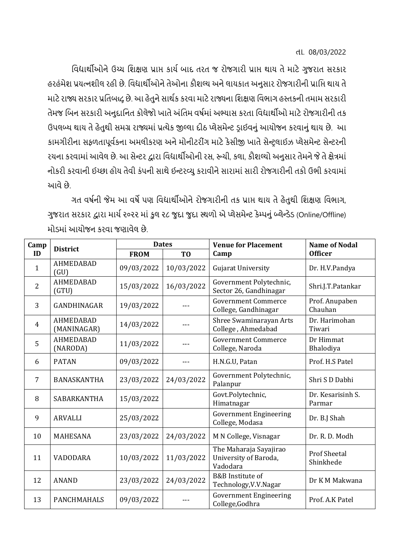તા. 08/03/2022

વિદ્યાર્થીઓનેઉચ્ચ વિક્ષણ પ્રાપ્ત કાર્યબાદ તરત જ રોજગારી પ્રાપ્ત ર્થાર્ તેમાટેગુજરાત સરકાર હરહંમેશ પ્રયત્નશીલ રહી છે. વિદ્યાર્થીઓને તેઓના કૌશલ્ય અને લાયકાત અનુસાર રોજગારીની પ્રાપ્તિ થાય તે માટે રાજ્ય સરકાર પ્રતિબદ્ધ છે. આ હેતુને સાર્થક કરવા માટે રાજ્યના શિક્ષણ વિભાગ હસ્તકની તમામ સરકારી તેમજ બિન સરકારી અનુદાનિત કોલેજો ખાતે અંતિમ વર્ષમાં અભ્યાસ કરતા વિદ્યાર્થીઓ માટે રોજગારીની તક ઉપલબ્ધ થાય તે હેતુથી સમગ્ર રાજ્યમાં પ્રત્યેક જીલ્લા દીઠ પ્લેસમેન્ટ ડાઈવનું આયોજન કરવાનું થાય છે. આ કામગીરીના સફળતાપૂર્વકના અમલીકરણ અને મોનીટરીંગ માટે કેસીજી ખાતે સેન્ટલાઈઝ પ્લેસમેન્ટ સેન્ટરની રચના કરવામાં આવેલ છે. આ સેન્ટર દ્વારા વિદ્યાર્થીઓની રસ, રૂચી, કલા, કૌશલ્યો અનુસાર તેમને જે તે ક્ષેત્રમાં નોકરી કરવાની ઈચ્છા હોય તેવી કંપની સાથે ઈન્ટરવ્યુ કરાવીને સારામાં સારી રોજગારીની તકો ઉભી કરવામાં આવે છે

ગત વર્ષની જેમ આ વર્ષે પણ વિદ્યાર્થીઓને રોજગારીની તક પ્રાપ્ત થાય તે હેતુથી શિક્ષણ વિભાગ, ગુજરાત સરકાર દ્વારા માર્ય ૨૦૨૨ માં કુલ ૨૮ જુદા જુદા સ્થળો એ પ્લેસમેન્ટ કેમ્પનું બ્લેન્ડેડ (Online/Offline) મોડમાં આયોજન કરવા જણાવેલ છે.

| Camp<br>ID     | <b>District</b>                 | <b>Dates</b> |                | <b>Venue for Placement</b>                                  | <b>Name of Nodal</b>             |
|----------------|---------------------------------|--------------|----------------|-------------------------------------------------------------|----------------------------------|
|                |                                 | <b>FROM</b>  | T <sub>0</sub> | Camp                                                        | <b>Officer</b>                   |
| $\mathbf{1}$   | <b>AHMEDABAD</b><br>(GU)        | 09/03/2022   | 10/03/2022     | Gujarat University                                          | Dr. H.V.Pandya                   |
| $\overline{2}$ | <b>AHMEDABAD</b><br>(GTU)       | 15/03/2022   | 16/03/2022     | Government Polytechnic,<br>Sector 26, Gandhinagar           | Shri.J.T.Patankar                |
| 3              | GANDHINAGAR                     | 19/03/2022   |                | <b>Government Commerce</b><br>College, Gandhinagar          | Prof. Anupaben<br>Chauhan        |
| 4              | <b>AHMEDABAD</b><br>(MANINAGAR) | 14/03/2022   |                | Shree Swaminarayan Arts<br>College, Ahmedabad               | Dr. Harimohan<br>Tiwari          |
| 5              | <b>AHMEDABAD</b><br>(NARODA)    | 11/03/2022   |                | <b>Government Commerce</b><br>College, Naroda               | Dr Himmat<br>Bhalodiya           |
| 6              | <b>PATAN</b>                    | 09/03/2022   |                | H.N.G.U, Patan                                              | Prof. H.S Patel                  |
| $\overline{7}$ | <b>BANASKANTHA</b>              | 23/03/2022   | 24/03/2022     | Government Polytechnic,<br>Palanpur                         | Shri S D Dabhi                   |
| 8              | <b>SABARKANTHA</b>              | 15/03/2022   |                | Govt.Polytechnic,<br>Himatnagar                             | Dr. Kesarisinh S.<br>Parmar      |
| 9              | <b>ARVALLI</b>                  | 25/03/2022   |                | <b>Government Engineering</b><br>College, Modasa            | Dr. B.J Shah                     |
| 10             | <b>MAHESANA</b>                 | 23/03/2022   | 24/03/2022     | M N College, Visnagar                                       | Dr. R. D. Modh                   |
| 11             | VADODARA                        | 10/03/2022   | 11/03/2022     | The Maharaja Sayajirao<br>University of Baroda,<br>Vadodara | <b>Prof Sheetal</b><br>Shinkhede |
| 12             | <b>ANAND</b>                    | 23/03/2022   | 24/03/2022     | B&B Institute of<br>Technology, V.V. Nagar                  | Dr K M Makwana                   |
| 13             | <b>PANCHMAHALS</b>              | 09/03/2022   |                | <b>Government Engineering</b><br>College, Godhra            | Prof. A.K Patel                  |